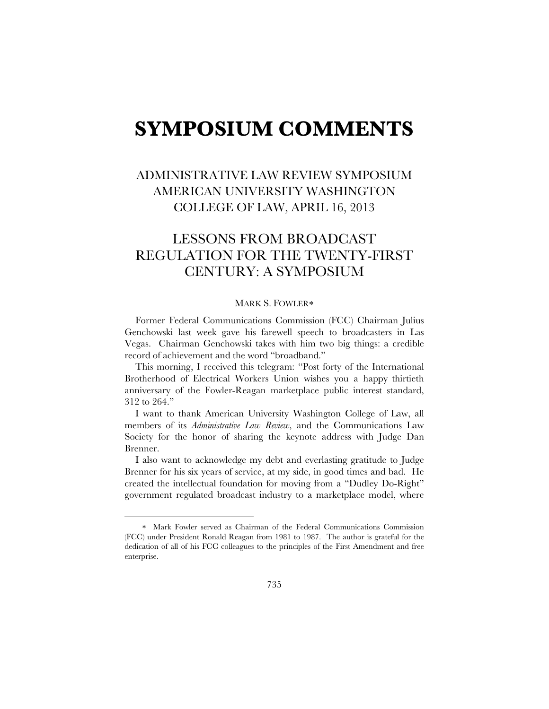## **SYMPOSIUM COMMENTS**

## ADMINISTRATIVE LAW REVIEW SYMPOSIUM AMERICAN UNIVERSITY WASHINGTON COLLEGE OF LAW, APRIL 16, 2013

## LESSONS FROM BROADCAST REGULATION FOR THE TWENTY-FIRST CENTURY: A SYMPOSIUM

## MARK S. FOWLER\*

Former Federal Communications Commission (FCC) Chairman Julius Genchowski last week gave his farewell speech to broadcasters in Las Vegas. Chairman Genchowski takes with him two big things: a credible record of achievement and the word "broadband."

This morning, I received this telegram: "Post forty of the International Brotherhood of Electrical Workers Union wishes you a happy thirtieth anniversary of the Fowler-Reagan marketplace public interest standard, 312 to 264."

I want to thank American University Washington College of Law, all members of its *Administrative Law Review*, and the Communications Law Society for the honor of sharing the keynote address with Judge Dan Brenner.

I also want to acknowledge my debt and everlasting gratitude to Judge Brenner for his six years of service, at my side, in good times and bad. He created the intellectual foundation for moving from a "Dudley Do-Right" government regulated broadcast industry to a marketplace model, where

1

Mark Fowler served as Chairman of the Federal Communications Commission (FCC) under President Ronald Reagan from 1981 to 1987. The author is grateful for the dedication of all of his FCC colleagues to the principles of the First Amendment and free enterprise.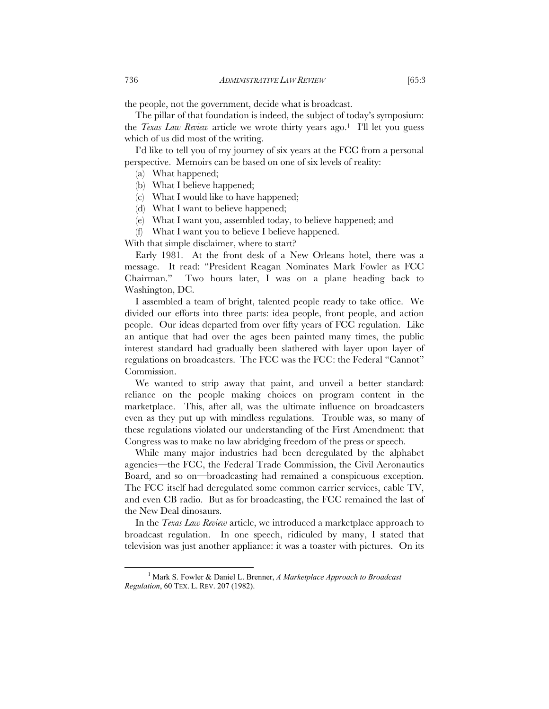the people, not the government, decide what is broadcast.

The pillar of that foundation is indeed, the subject of today's symposium: the *Texas Law Review* article we wrote thirty years ago.1 I'll let you guess which of us did most of the writing.

I'd like to tell you of my journey of six years at the FCC from a personal perspective. Memoirs can be based on one of six levels of reality:

- (a) What happened;
- (b) What I believe happened;
- (c) What I would like to have happened;
- (d) What I want to believe happened;
- (e) What I want you, assembled today, to believe happened; and
- (f) What I want you to believe I believe happened.

With that simple disclaimer, where to start?

Early 1981. At the front desk of a New Orleans hotel, there was a message. It read: "President Reagan Nominates Mark Fowler as FCC Chairman." Two hours later, I was on a plane heading back to Washington, DC.

I assembled a team of bright, talented people ready to take office. We divided our efforts into three parts: idea people, front people, and action people. Our ideas departed from over fifty years of FCC regulation. Like an antique that had over the ages been painted many times, the public interest standard had gradually been slathered with layer upon layer of regulations on broadcasters. The FCC was the FCC: the Federal "Cannot" Commission.

We wanted to strip away that paint, and unveil a better standard: reliance on the people making choices on program content in the marketplace. This, after all, was the ultimate influence on broadcasters even as they put up with mindless regulations. Trouble was, so many of these regulations violated our understanding of the First Amendment: that Congress was to make no law abridging freedom of the press or speech.

While many major industries had been deregulated by the alphabet agencies—the FCC, the Federal Trade Commission, the Civil Aeronautics Board, and so on—broadcasting had remained a conspicuous exception. The FCC itself had deregulated some common carrier services, cable TV, and even CB radio. But as for broadcasting, the FCC remained the last of the New Deal dinosaurs.

In the *Texas Law Review* article, we introduced a marketplace approach to broadcast regulation. In one speech, ridiculed by many, I stated that television was just another appliance: it was a toaster with pictures. On its

 $\frac{1}{1}$  Mark S. Fowler & Daniel L. Brenner, *A Marketplace Approach to Broadcast Regulation*, 60 TEX. L. REV. 207 (1982).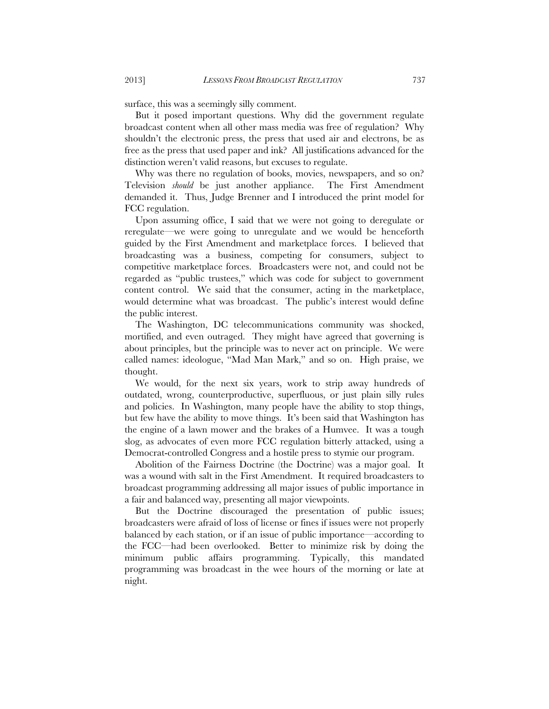surface, this was a seemingly silly comment.

But it posed important questions. Why did the government regulate broadcast content when all other mass media was free of regulation? Why shouldn't the electronic press, the press that used air and electrons, be as free as the press that used paper and ink? All justifications advanced for the distinction weren't valid reasons, but excuses to regulate.

Why was there no regulation of books, movies, newspapers, and so on? Television *should* be just another appliance. The First Amendment demanded it. Thus, Judge Brenner and I introduced the print model for FCC regulation.

Upon assuming office, I said that we were not going to deregulate or reregulate—we were going to unregulate and we would be henceforth guided by the First Amendment and marketplace forces. I believed that broadcasting was a business, competing for consumers, subject to competitive marketplace forces. Broadcasters were not, and could not be regarded as "public trustees," which was code for subject to government content control. We said that the consumer, acting in the marketplace, would determine what was broadcast. The public's interest would define the public interest.

The Washington, DC telecommunications community was shocked, mortified, and even outraged. They might have agreed that governing is about principles, but the principle was to never act on principle. We were called names: ideologue, "Mad Man Mark," and so on. High praise, we thought.

We would, for the next six years, work to strip away hundreds of outdated, wrong, counterproductive, superfluous, or just plain silly rules and policies. In Washington, many people have the ability to stop things, but few have the ability to move things. It's been said that Washington has the engine of a lawn mower and the brakes of a Humvee. It was a tough slog, as advocates of even more FCC regulation bitterly attacked, using a Democrat-controlled Congress and a hostile press to stymie our program.

Abolition of the Fairness Doctrine (the Doctrine) was a major goal. It was a wound with salt in the First Amendment. It required broadcasters to broadcast programming addressing all major issues of public importance in a fair and balanced way, presenting all major viewpoints.

But the Doctrine discouraged the presentation of public issues; broadcasters were afraid of loss of license or fines if issues were not properly balanced by each station, or if an issue of public importance—according to the FCC—had been overlooked. Better to minimize risk by doing the minimum public affairs programming. Typically, this mandated programming was broadcast in the wee hours of the morning or late at night.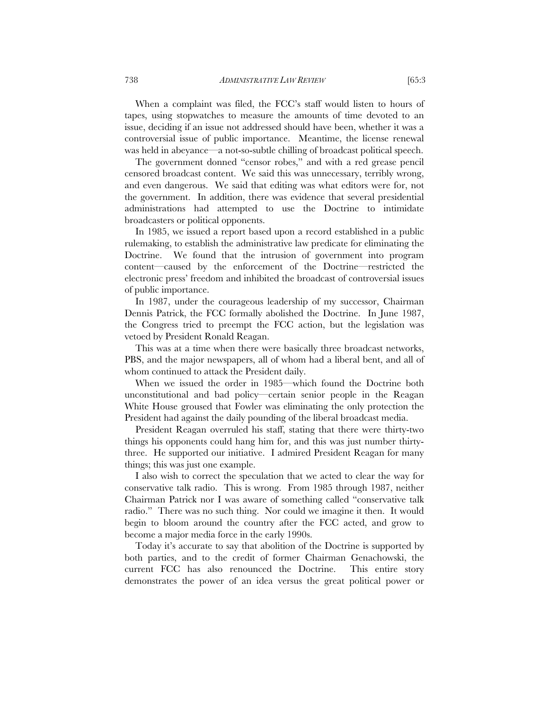When a complaint was filed, the FCC's staff would listen to hours of tapes, using stopwatches to measure the amounts of time devoted to an issue, deciding if an issue not addressed should have been, whether it was a controversial issue of public importance. Meantime, the license renewal was held in abeyance—a not-so-subtle chilling of broadcast political speech.

The government donned "censor robes," and with a red grease pencil censored broadcast content. We said this was unnecessary, terribly wrong, and even dangerous. We said that editing was what editors were for, not the government. In addition, there was evidence that several presidential administrations had attempted to use the Doctrine to intimidate broadcasters or political opponents.

In 1985, we issued a report based upon a record established in a public rulemaking, to establish the administrative law predicate for eliminating the Doctrine. We found that the intrusion of government into program content—caused by the enforcement of the Doctrine—restricted the electronic press' freedom and inhibited the broadcast of controversial issues of public importance.

In 1987, under the courageous leadership of my successor, Chairman Dennis Patrick, the FCC formally abolished the Doctrine. In June 1987, the Congress tried to preempt the FCC action, but the legislation was vetoed by President Ronald Reagan.

This was at a time when there were basically three broadcast networks, PBS, and the major newspapers, all of whom had a liberal bent, and all of whom continued to attack the President daily.

When we issued the order in 1985—which found the Doctrine both unconstitutional and bad policy—certain senior people in the Reagan White House groused that Fowler was eliminating the only protection the President had against the daily pounding of the liberal broadcast media.

President Reagan overruled his staff, stating that there were thirty-two things his opponents could hang him for, and this was just number thirtythree. He supported our initiative. I admired President Reagan for many things; this was just one example.

I also wish to correct the speculation that we acted to clear the way for conservative talk radio. This is wrong. From 1985 through 1987, neither Chairman Patrick nor I was aware of something called "conservative talk radio." There was no such thing. Nor could we imagine it then. It would begin to bloom around the country after the FCC acted, and grow to become a major media force in the early 1990s.

Today it's accurate to say that abolition of the Doctrine is supported by both parties, and to the credit of former Chairman Genachowski, the current FCC has also renounced the Doctrine. This entire story demonstrates the power of an idea versus the great political power or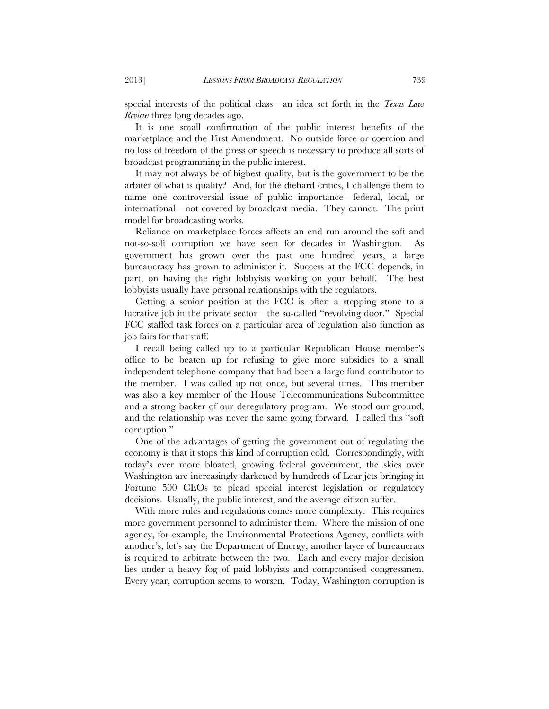special interests of the political class—an idea set forth in the *Texas Law Review* three long decades ago.

It is one small confirmation of the public interest benefits of the marketplace and the First Amendment. No outside force or coercion and no loss of freedom of the press or speech is necessary to produce all sorts of broadcast programming in the public interest.

It may not always be of highest quality, but is the government to be the arbiter of what is quality? And, for the diehard critics, I challenge them to name one controversial issue of public importance—federal, local, or international—not covered by broadcast media. They cannot. The print model for broadcasting works.

Reliance on marketplace forces affects an end run around the soft and not-so-soft corruption we have seen for decades in Washington. As government has grown over the past one hundred years, a large bureaucracy has grown to administer it. Success at the FCC depends, in part, on having the right lobbyists working on your behalf. The best lobbyists usually have personal relationships with the regulators.

Getting a senior position at the FCC is often a stepping stone to a lucrative job in the private sector—the so-called "revolving door." Special FCC staffed task forces on a particular area of regulation also function as job fairs for that staff.

I recall being called up to a particular Republican House member's office to be beaten up for refusing to give more subsidies to a small independent telephone company that had been a large fund contributor to the member. I was called up not once, but several times. This member was also a key member of the House Telecommunications Subcommittee and a strong backer of our deregulatory program. We stood our ground, and the relationship was never the same going forward. I called this "soft corruption."

One of the advantages of getting the government out of regulating the economy is that it stops this kind of corruption cold. Correspondingly, with today's ever more bloated, growing federal government, the skies over Washington are increasingly darkened by hundreds of Lear jets bringing in Fortune 500 CEOs to plead special interest legislation or regulatory decisions. Usually, the public interest, and the average citizen suffer.

With more rules and regulations comes more complexity. This requires more government personnel to administer them. Where the mission of one agency, for example, the Environmental Protections Agency, conflicts with another's, let's say the Department of Energy, another layer of bureaucrats is required to arbitrate between the two. Each and every major decision lies under a heavy fog of paid lobbyists and compromised congressmen. Every year, corruption seems to worsen. Today, Washington corruption is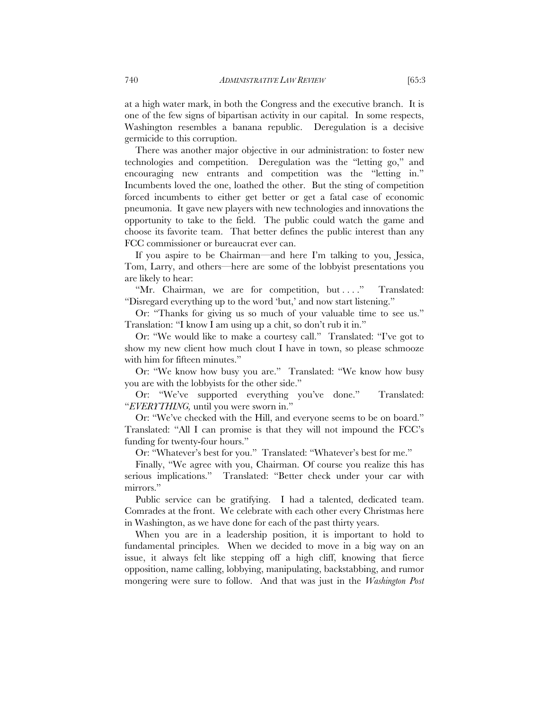at a high water mark, in both the Congress and the executive branch. It is one of the few signs of bipartisan activity in our capital. In some respects, Washington resembles a banana republic. Deregulation is a decisive germicide to this corruption.

There was another major objective in our administration: to foster new technologies and competition. Deregulation was the "letting go," and encouraging new entrants and competition was the "letting in." Incumbents loved the one, loathed the other. But the sting of competition forced incumbents to either get better or get a fatal case of economic pneumonia. It gave new players with new technologies and innovations the opportunity to take to the field. The public could watch the game and choose its favorite team. That better defines the public interest than any FCC commissioner or bureaucrat ever can.

If you aspire to be Chairman—and here I'm talking to you, Jessica, Tom, Larry, and others—here are some of the lobbyist presentations you are likely to hear:

"Mr. Chairman, we are for competition, but ...." Translated: "Disregard everything up to the word 'but,' and now start listening."

Or: "Thanks for giving us so much of your valuable time to see us." Translation: "I know I am using up a chit, so don't rub it in."

Or: "We would like to make a courtesy call." Translated: "I've got to show my new client how much clout I have in town, so please schmooze with him for fifteen minutes."

Or: "We know how busy you are." Translated: "We know how busy you are with the lobbyists for the other side."

Or: "We've supported everything you've done." Translated: "*EVERYTHING,* until you were sworn in."

Or: "We've checked with the Hill, and everyone seems to be on board." Translated: "All I can promise is that they will not impound the FCC's funding for twenty-four hours."

Or: "Whatever's best for you." Translated: "Whatever's best for me."

Finally, "We agree with you, Chairman. Of course you realize this has serious implications." Translated: "Better check under your car with mirrors."

Public service can be gratifying. I had a talented, dedicated team. Comrades at the front. We celebrate with each other every Christmas here in Washington, as we have done for each of the past thirty years.

When you are in a leadership position, it is important to hold to fundamental principles. When we decided to move in a big way on an issue, it always felt like stepping off a high cliff, knowing that fierce opposition, name calling, lobbying, manipulating, backstabbing, and rumor mongering were sure to follow. And that was just in the *Washington Post*